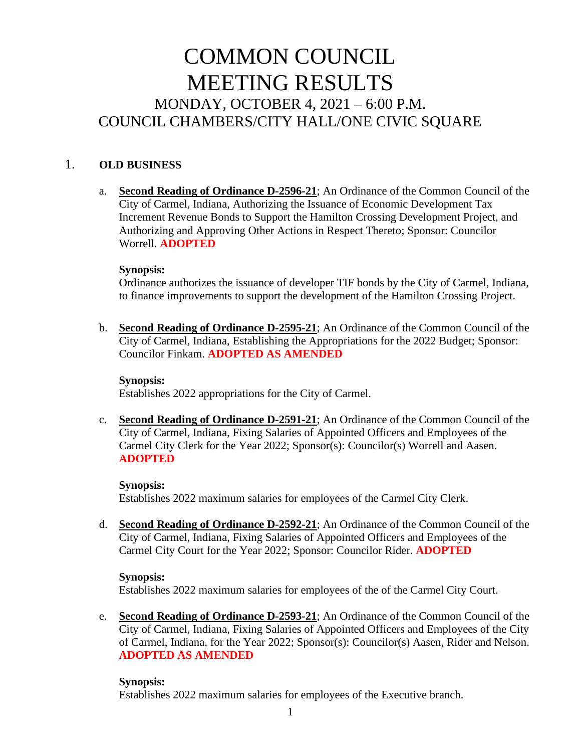# COMMON COUNCIL MEETING RESULTS MONDAY, OCTOBER 4, 2021 – 6:00 P.M. COUNCIL CHAMBERS/CITY HALL/ONE CIVIC SQUARE

## 1. **OLD BUSINESS**

a. **Second Reading of Ordinance D-2596-21**; An Ordinance of the Common Council of the City of Carmel, Indiana, Authorizing the Issuance of Economic Development Tax Increment Revenue Bonds to Support the Hamilton Crossing Development Project, and Authorizing and Approving Other Actions in Respect Thereto; Sponsor: Councilor Worrell. **ADOPTED**

### **Synopsis:**

Ordinance authorizes the issuance of developer TIF bonds by the City of Carmel, Indiana, to finance improvements to support the development of the Hamilton Crossing Project.

b. **Second Reading of Ordinance D-2595-21**; An Ordinance of the Common Council of the City of Carmel, Indiana, Establishing the Appropriations for the 2022 Budget; Sponsor: Councilor Finkam. **ADOPTED AS AMENDED**

### **Synopsis:**

Establishes 2022 appropriations for the City of Carmel.

c. **Second Reading of Ordinance D-2591-21**; An Ordinance of the Common Council of the City of Carmel, Indiana, Fixing Salaries of Appointed Officers and Employees of the Carmel City Clerk for the Year 2022; Sponsor(s): Councilor(s) Worrell and Aasen. **ADOPTED**

### **Synopsis:**

Establishes 2022 maximum salaries for employees of the Carmel City Clerk.

d. **Second Reading of Ordinance D-2592-21**; An Ordinance of the Common Council of the City of Carmel, Indiana, Fixing Salaries of Appointed Officers and Employees of the Carmel City Court for the Year 2022; Sponsor: Councilor Rider. **ADOPTED**

### **Synopsis:**

Establishes 2022 maximum salaries for employees of the of the Carmel City Court.

e. **Second Reading of Ordinance D-2593-21**; An Ordinance of the Common Council of the City of Carmel, Indiana, Fixing Salaries of Appointed Officers and Employees of the City of Carmel, Indiana, for the Year 2022; Sponsor(s): Councilor(s) Aasen, Rider and Nelson. **ADOPTED AS AMENDED**

### **Synopsis:**

Establishes 2022 maximum salaries for employees of the Executive branch.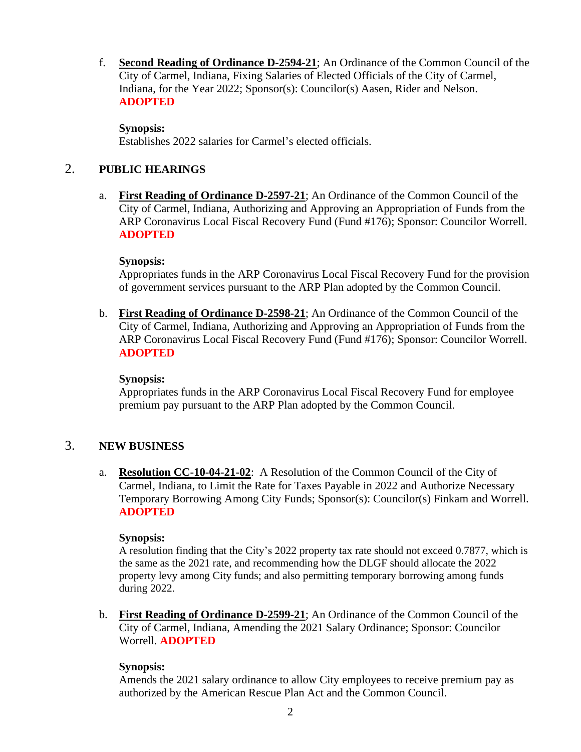f. **Second Reading of Ordinance D-2594-21**; An Ordinance of the Common Council of the City of Carmel, Indiana, Fixing Salaries of Elected Officials of the City of Carmel, Indiana, for the Year 2022; Sponsor(s): Councilor(s) Aasen, Rider and Nelson. **ADOPTED**

## **Synopsis:**

Establishes 2022 salaries for Carmel's elected officials.

## 2. **PUBLIC HEARINGS**

a. **First Reading of Ordinance D-2597-21**; An Ordinance of the Common Council of the City of Carmel, Indiana, Authorizing and Approving an Appropriation of Funds from the ARP Coronavirus Local Fiscal Recovery Fund (Fund #176); Sponsor: Councilor Worrell. **ADOPTED**

## **Synopsis:**

Appropriates funds in the ARP Coronavirus Local Fiscal Recovery Fund for the provision of government services pursuant to the ARP Plan adopted by the Common Council.

b. **First Reading of Ordinance D-2598-21**; An Ordinance of the Common Council of the City of Carmel, Indiana, Authorizing and Approving an Appropriation of Funds from the ARP Coronavirus Local Fiscal Recovery Fund (Fund #176); Sponsor: Councilor Worrell. **ADOPTED**

## **Synopsis:**

Appropriates funds in the ARP Coronavirus Local Fiscal Recovery Fund for employee premium pay pursuant to the ARP Plan adopted by the Common Council.

## 3. **NEW BUSINESS**

a. **Resolution CC-10-04-21-02**: A Resolution of the Common Council of the City of Carmel, Indiana, to Limit the Rate for Taxes Payable in 2022 and Authorize Necessary Temporary Borrowing Among City Funds; Sponsor(s): Councilor(s) Finkam and Worrell. **ADOPTED**

## **Synopsis:**

A resolution finding that the City's 2022 property tax rate should not exceed 0.7877, which is the same as the 2021 rate, and recommending how the DLGF should allocate the 2022 property levy among City funds; and also permitting temporary borrowing among funds during 2022.

b. **First Reading of Ordinance D-2599-21**; An Ordinance of the Common Council of the City of Carmel, Indiana, Amending the 2021 Salary Ordinance; Sponsor: Councilor Worrell. **ADOPTED**

## **Synopsis:**

Amends the 2021 salary ordinance to allow City employees to receive premium pay as authorized by the American Rescue Plan Act and the Common Council.